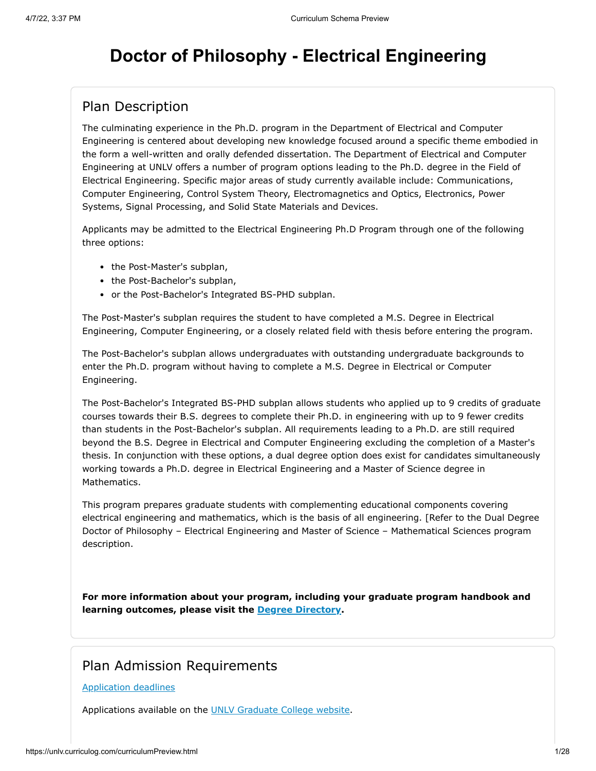# **Doctor of Philosophy - Electrical Engineering**

#### Plan Description

The culminating experience in the Ph.D. program in the Department of Electrical and Computer Engineering is centered about developing new knowledge focused around a specific theme embodied in the form a well-written and orally defended dissertation. The Department of Electrical and Computer Engineering at UNLV offers a number of program options leading to the Ph.D. degree in the Field of Electrical Engineering. Specific major areas of study currently available include: Communications, Computer Engineering, Control System Theory, Electromagnetics and Optics, Electronics, Power Systems, Signal Processing, and Solid State Materials and Devices.

Applicants may be admitted to the Electrical Engineering Ph.D Program through one of the following three options:

- the Post-Master's subplan,
- the Post-Bachelor's subplan,
- or the Post-Bachelor's Integrated BS-PHD subplan.

The Post-Master's subplan requires the student to have completed a M.S. Degree in Electrical Engineering, Computer Engineering, or a closely related field with thesis before entering the program.

The Post-Bachelor's subplan allows undergraduates with outstanding undergraduate backgrounds to enter the Ph.D. program without having to complete a M.S. Degree in Electrical or Computer Engineering.

The Post-Bachelor's Integrated BS-PHD subplan allows students who applied up to 9 credits of graduate courses towards their B.S. degrees to complete their Ph.D. in engineering with up to 9 fewer credits than students in the Post-Bachelor's subplan. All requirements leading to a Ph.D. are still required beyond the B.S. Degree in Electrical and Computer Engineering excluding the completion of a Master's thesis. In conjunction with these options, a dual degree option does exist for candidates simultaneously working towards a Ph.D. degree in Electrical Engineering and a Master of Science degree in Mathematics.

This program prepares graduate students with complementing educational components covering electrical engineering and mathematics, which is the basis of all engineering. [Refer to the Dual Degree Doctor of Philosophy – Electrical Engineering and Master of Science – Mathematical Sciences program description.

**For more information about your program, including your graduate program handbook and learning outcomes, please visit the [Degree Directory.](http://www.unlv.edu/degree/phd-electrical-engineering)**

#### Plan Admission Requirements

#### [Application deadlines](http://www.unlv.edu/graduatecollege/application-deadlines)

Applications available on the [UNLV Graduate College website.](http://graduatecollege.unlv.edu/admissions/)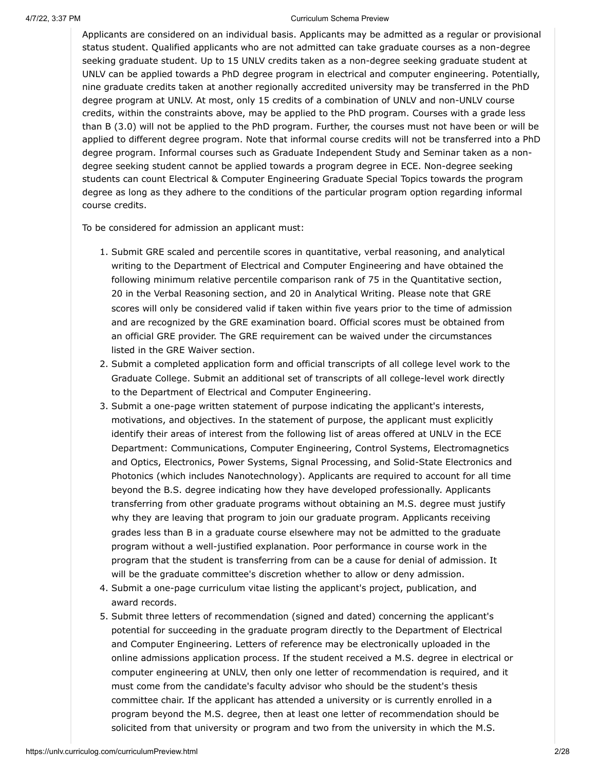Applicants are considered on an individual basis. Applicants may be admitted as a regular or provisional status student. Qualified applicants who are not admitted can take graduate courses as a non-degree seeking graduate student. Up to 15 UNLV credits taken as a non-degree seeking graduate student at UNLV can be applied towards a PhD degree program in electrical and computer engineering. Potentially, nine graduate credits taken at another regionally accredited university may be transferred in the PhD degree program at UNLV. At most, only 15 credits of a combination of UNLV and non-UNLV course credits, within the constraints above, may be applied to the PhD program. Courses with a grade less than B (3.0) will not be applied to the PhD program. Further, the courses must not have been or will be applied to different degree program. Note that informal course credits will not be transferred into a PhD degree program. Informal courses such as Graduate Independent Study and Seminar taken as a nondegree seeking student cannot be applied towards a program degree in ECE. Non-degree seeking students can count Electrical & Computer Engineering Graduate Special Topics towards the program degree as long as they adhere to the conditions of the particular program option regarding informal course credits.

To be considered for admission an applicant must:

- 1. Submit GRE scaled and percentile scores in quantitative, verbal reasoning, and analytical writing to the Department of Electrical and Computer Engineering and have obtained the following minimum relative percentile comparison rank of 75 in the Quantitative section, 20 in the Verbal Reasoning section, and 20 in Analytical Writing. Please note that GRE scores will only be considered valid if taken within five years prior to the time of admission and are recognized by the GRE examination board. Official scores must be obtained from an official GRE provider. The GRE requirement can be waived under the circumstances listed in the GRE Waiver section.
- 2. Submit a completed application form and official transcripts of all college level work to the Graduate College. Submit an additional set of transcripts of all college-level work directly to the Department of Electrical and Computer Engineering.
- 3. Submit a one-page written statement of purpose indicating the applicant's interests, motivations, and objectives. In the statement of purpose, the applicant must explicitly identify their areas of interest from the following list of areas offered at UNLV in the ECE Department: Communications, Computer Engineering, Control Systems, Electromagnetics and Optics, Electronics, Power Systems, Signal Processing, and Solid-State Electronics and Photonics (which includes Nanotechnology). Applicants are required to account for all time beyond the B.S. degree indicating how they have developed professionally. Applicants transferring from other graduate programs without obtaining an M.S. degree must justify why they are leaving that program to join our graduate program. Applicants receiving grades less than B in a graduate course elsewhere may not be admitted to the graduate program without a well-justified explanation. Poor performance in course work in the program that the student is transferring from can be a cause for denial of admission. It will be the graduate committee's discretion whether to allow or deny admission.
- 4. Submit a one-page curriculum vitae listing the applicant's project, publication, and award records.
- 5. Submit three letters of recommendation (signed and dated) concerning the applicant's potential for succeeding in the graduate program directly to the Department of Electrical and Computer Engineering. Letters of reference may be electronically uploaded in the online admissions application process. If the student received a M.S. degree in electrical or computer engineering at UNLV, then only one letter of recommendation is required, and it must come from the candidate's faculty advisor who should be the student's thesis committee chair. If the applicant has attended a university or is currently enrolled in a program beyond the M.S. degree, then at least one letter of recommendation should be solicited from that university or program and two from the university in which the M.S.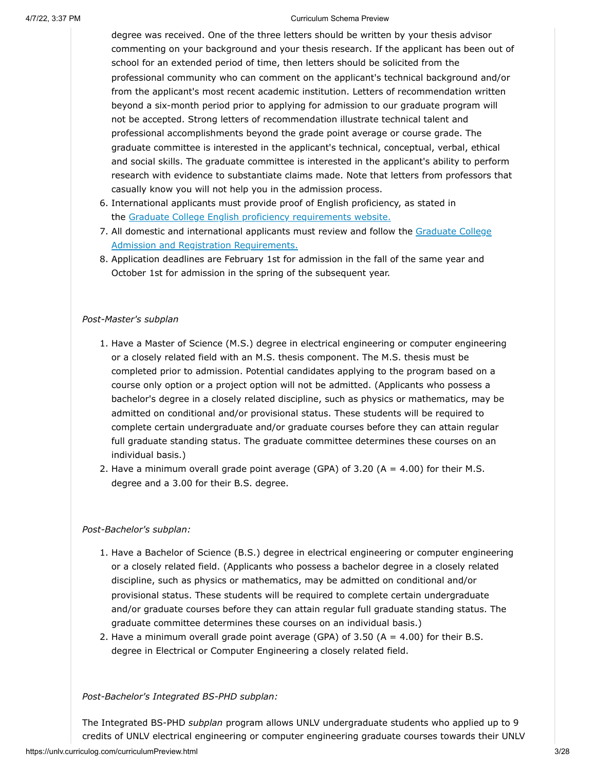degree was received. One of the three letters should be written by your thesis advisor commenting on your background and your thesis research. If the applicant has been out of school for an extended period of time, then letters should be solicited from the professional community who can comment on the applicant's technical background and/or from the applicant's most recent academic institution. Letters of recommendation written beyond a six-month period prior to applying for admission to our graduate program will not be accepted. Strong letters of recommendation illustrate technical talent and professional accomplishments beyond the grade point average or course grade. The graduate committee is interested in the applicant's technical, conceptual, verbal, ethical and social skills. The graduate committee is interested in the applicant's ability to perform research with evidence to substantiate claims made. Note that letters from professors that casually know you will not help you in the admission process.

- 6. International applicants must provide proof of English proficiency, as stated in the [Graduate College English proficiency requirements website.](https://www.unlv.edu/graduatecollege/english-proficiency)
- 7. [All domestic and international applicants must review and follow the Graduate College](http://www.unlv.edu/graduatecollege/futurestudents) Admission and Registration Requirements.
- 8. Application deadlines are February 1st for admission in the fall of the same year and October 1st for admission in the spring of the subsequent year.

#### *Post-Master's subplan*

- 1. Have a Master of Science (M.S.) degree in electrical engineering or computer engineering or a closely related field with an M.S. thesis component. The M.S. thesis must be completed prior to admission. Potential candidates applying to the program based on a course only option or a project option will not be admitted. (Applicants who possess a bachelor's degree in a closely related discipline, such as physics or mathematics, may be admitted on conditional and/or provisional status. These students will be required to complete certain undergraduate and/or graduate courses before they can attain regular full graduate standing status. The graduate committee determines these courses on an individual basis.)
- 2. Have a minimum overall grade point average (GPA) of  $3.20$  (A =  $4.00$ ) for their M.S. degree and a 3.00 for their B.S. degree.

#### *Post-Bachelor's subplan:*

- 1. Have a Bachelor of Science (B.S.) degree in electrical engineering or computer engineering or a closely related field. (Applicants who possess a bachelor degree in a closely related discipline, such as physics or mathematics, may be admitted on conditional and/or provisional status. These students will be required to complete certain undergraduate and/or graduate courses before they can attain regular full graduate standing status. The graduate committee determines these courses on an individual basis.)
- 2. Have a minimum overall grade point average (GPA) of 3.50 ( $A = 4.00$ ) for their B.S. degree in Electrical or Computer Engineering a closely related field.

*Post-Bachelor's Integrated BS-PHD subplan:*

The Integrated BS-PHD *subplan* program allows UNLV undergraduate students who applied up to 9 credits of UNLV electrical engineering or computer engineering graduate courses towards their UNLV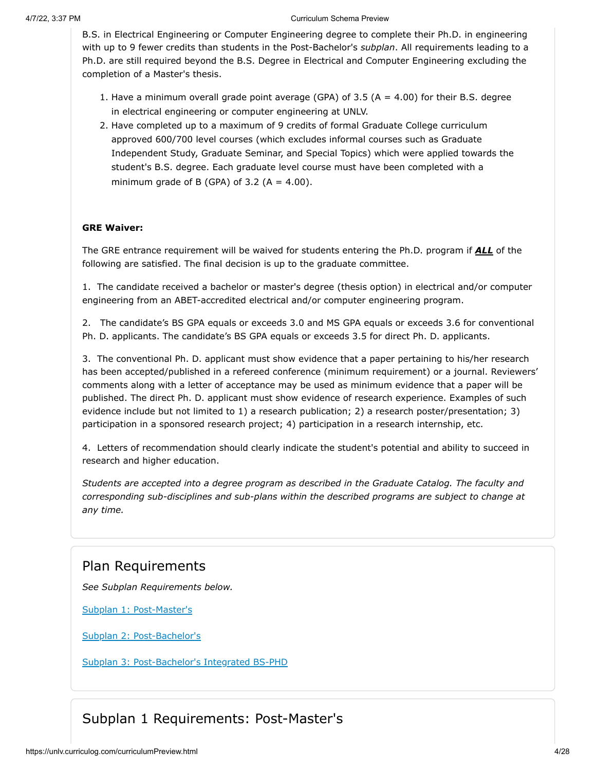B.S. in Electrical Engineering or Computer Engineering degree to complete their Ph.D. in engineering with up to 9 fewer credits than students in the Post-Bachelor's *subplan*. All requirements leading to a Ph.D. are still required beyond the B.S. Degree in Electrical and Computer Engineering excluding the completion of a Master's thesis.

- 1. Have a minimum overall grade point average (GPA) of 3.5 ( $A = 4.00$ ) for their B.S. degree in electrical engineering or computer engineering at UNLV.
- 2. Have completed up to a maximum of 9 credits of formal Graduate College curriculum approved 600/700 level courses (which excludes informal courses such as Graduate Independent Study, Graduate Seminar, and Special Topics) which were applied towards the student's B.S. degree. Each graduate level course must have been completed with a minimum grade of B (GPA) of 3.2 (A =  $4.00$ ).

#### **GRE Waiver:**

The GRE entrance requirement will be waived for students entering the Ph.D. program if *ALL* of the following are satisfied. The final decision is up to the graduate committee.

1. The candidate received a bachelor or master's degree (thesis option) in electrical and/or computer engineering from an ABET-accredited electrical and/or computer engineering program.

2. The candidate's BS GPA equals or exceeds 3.0 and MS GPA equals or exceeds 3.6 for conventional Ph. D. applicants. The candidate's BS GPA equals or exceeds 3.5 for direct Ph. D. applicants.

3. The conventional Ph. D. applicant must show evidence that a paper pertaining to his/her research has been accepted/published in a refereed conference (minimum requirement) or a journal. Reviewers' comments along with a letter of acceptance may be used as minimum evidence that a paper will be published. The direct Ph. D. applicant must show evidence of research experience. Examples of such evidence include but not limited to 1) a research publication; 2) a research poster/presentation; 3) participation in a sponsored research project; 4) participation in a research internship, etc.

4. Letters of recommendation should clearly indicate the student's potential and ability to succeed in research and higher education.

*Students are accepted into a degree program as described in the Graduate Catalog. The faculty and corresponding sub-disciplines and sub-plans within the described programs are subject to change at any time.*

#### Plan Requirements

*See Subplan Requirements below.*

[Subplan 1: Post-Master's](#page-4-0)

[Subplan 2: Post-Bachelor's](#page-10-0)

[Subplan 3: Post-Bachelor's Integrated BS-PHD](#page-18-0)

### Subplan 1 Requirements: Post-Master's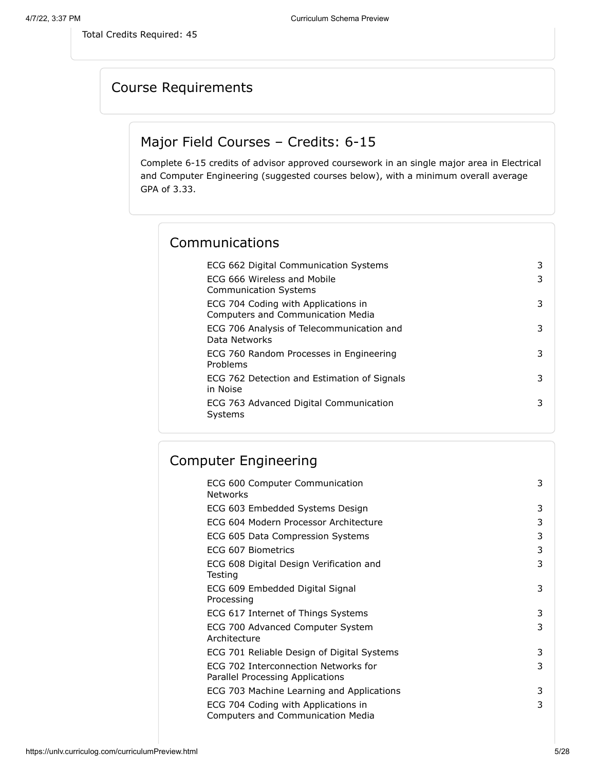<span id="page-4-0"></span>Total Credits Required: 45

## Course Requirements

## Major Field Courses – Credits: 6-15

Complete 6-15 credits of advisor approved coursework in an single major area in Electrical and Computer Engineering (suggested courses below), with a minimum overall average GPA of 3.33.

### Communications

| ECG 662 Digital Communication Systems                                           | 3 |
|---------------------------------------------------------------------------------|---|
| ECG 666 Wireless and Mobile<br><b>Communication Systems</b>                     | 3 |
| ECG 704 Coding with Applications in<br><b>Computers and Communication Media</b> | 3 |
| ECG 706 Analysis of Telecommunication and<br>Data Networks                      | 3 |
| ECG 760 Random Processes in Engineering<br>Problems                             | 3 |
| ECG 762 Detection and Estimation of Signals<br>in Noise                         | 3 |
| ECG 763 Advanced Digital Communication<br>Systems                               | 3 |

## Computer Engineering

| ECG 600 Computer Communication<br><b>Networks</b>                               | 3 |
|---------------------------------------------------------------------------------|---|
| ECG 603 Embedded Systems Design                                                 | 3 |
| ECG 604 Modern Processor Architecture                                           | 3 |
| ECG 605 Data Compression Systems                                                | 3 |
| ECG 607 Biometrics                                                              | 3 |
| ECG 608 Digital Design Verification and<br>Testing                              | 3 |
| ECG 609 Embedded Digital Signal<br>Processing                                   | 3 |
| ECG 617 Internet of Things Systems                                              | 3 |
| ECG 700 Advanced Computer System<br>Architecture                                | 3 |
| ECG 701 Reliable Design of Digital Systems                                      | 3 |
| ECG 702 Interconnection Networks for<br>Parallel Processing Applications        | 3 |
| ECG 703 Machine Learning and Applications                                       | 3 |
| ECG 704 Coding with Applications in<br><b>Computers and Communication Media</b> | 3 |
|                                                                                 |   |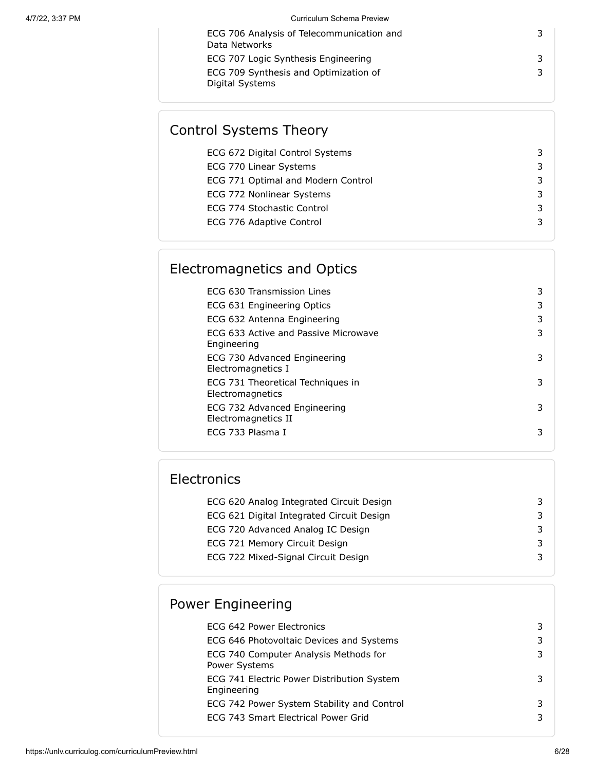| ECG 706 Analysis of Telecommunication and                |  |
|----------------------------------------------------------|--|
| Data Networks                                            |  |
| ECG 707 Logic Synthesis Engineering                      |  |
| ECG 709 Synthesis and Optimization of<br>Digital Systems |  |

## Control Systems Theory

| ECG 672 Digital Control Systems    |  |
|------------------------------------|--|
| ECG 770 Linear Systems             |  |
| ECG 771 Optimal and Modern Control |  |
| ECG 772 Nonlinear Systems          |  |
| ECG 774 Stochastic Control         |  |
| ECG 776 Adaptive Control           |  |
|                                    |  |

## Electromagnetics and Optics

| ECG 630 Transmission Lines                            | 3 |
|-------------------------------------------------------|---|
| ECG 631 Engineering Optics                            | 3 |
| ECG 632 Antenna Engineering                           | 3 |
| ECG 633 Active and Passive Microwave<br>Engineering   | 3 |
| ECG 730 Advanced Engineering<br>Electromagnetics I    | 3 |
| ECG 731 Theoretical Techniques in<br>Electromagnetics | 3 |
| ECG 732 Advanced Engineering<br>Electromagnetics II   | 3 |
| ECG 733 Plasma I                                      | 3 |

## **Electronics**

| ECG 620 Analog Integrated Circuit Design  |    |
|-------------------------------------------|----|
| ECG 621 Digital Integrated Circuit Design | 3. |
| ECG 720 Advanced Analog IC Design         |    |
| ECG 721 Memory Circuit Design             |    |
| ECG 722 Mixed-Signal Circuit Design       |    |
|                                           |    |

## Power Engineering

| ECG 642 Power Electronics                                 | 3 |
|-----------------------------------------------------------|---|
| ECG 646 Photovoltaic Devices and Systems                  | 3 |
| ECG 740 Computer Analysis Methods for<br>Power Systems    | 3 |
| ECG 741 Electric Power Distribution System<br>Engineering | 3 |
| ECG 742 Power System Stability and Control                | 3 |
| ECG 743 Smart Electrical Power Grid                       | 3 |
|                                                           |   |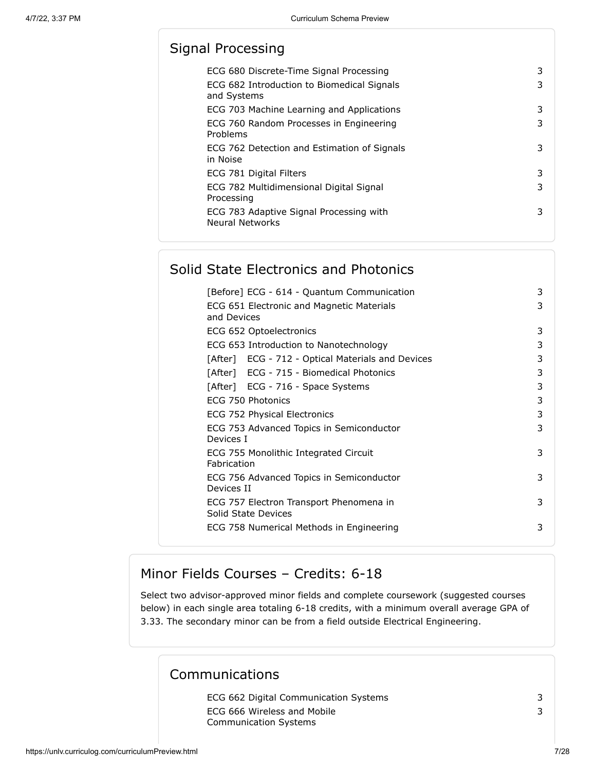## Signal Processing

| ECG 680 Discrete-Time Signal Processing<br>ECG 682 Introduction to Biomedical Signals<br>and Systems | 3<br>3 |
|------------------------------------------------------------------------------------------------------|--------|
| ECG 703 Machine Learning and Applications                                                            | 3      |
| ECG 760 Random Processes in Engineering<br>Problems                                                  | 3      |
| ECG 762 Detection and Estimation of Signals<br>in Noise                                              | 3      |
| ECG 781 Digital Filters                                                                              | 3      |
| ECG 782 Multidimensional Digital Signal<br>Processing                                                | 3      |
| ECG 783 Adaptive Signal Processing with<br><b>Neural Networks</b>                                    | 3      |

## Solid State Electronics and Photonics

| [Before] ECG - 614 - Quantum Communication                     | 3 |
|----------------------------------------------------------------|---|
| ECG 651 Electronic and Magnetic Materials<br>and Devices       | 3 |
| ECG 652 Optoelectronics                                        | 3 |
| ECG 653 Introduction to Nanotechnology                         | 3 |
| [After] ECG - 712 - Optical Materials and Devices              | 3 |
| [After] ECG - 715 - Biomedical Photonics                       | 3 |
| [After] ECG - 716 - Space Systems                              | 3 |
| ECG 750 Photonics                                              | 3 |
| ECG 752 Physical Electronics                                   | 3 |
| ECG 753 Advanced Topics in Semiconductor<br>Devices I          | 3 |
| ECG 755 Monolithic Integrated Circuit<br>Fabrication           | 3 |
| ECG 756 Advanced Topics in Semiconductor<br>Devices II         | 3 |
| ECG 757 Electron Transport Phenomena in<br>Solid State Devices | 3 |
| ECG 758 Numerical Methods in Engineering                       | 3 |

#### Minor Fields Courses – Credits: 6-18

Select two advisor-approved minor fields and complete coursework (suggested courses below) in each single area totaling 6-18 credits, with a minimum overall average GPA of 3.33. The secondary minor can be from a field outside Electrical Engineering.

#### Communications

ECG 662 Digital Communication Systems 3 ECG 666 Wireless and Mobile Communication Systems

https://unlv.curriculog.com/curriculumPreview.html 7/28

3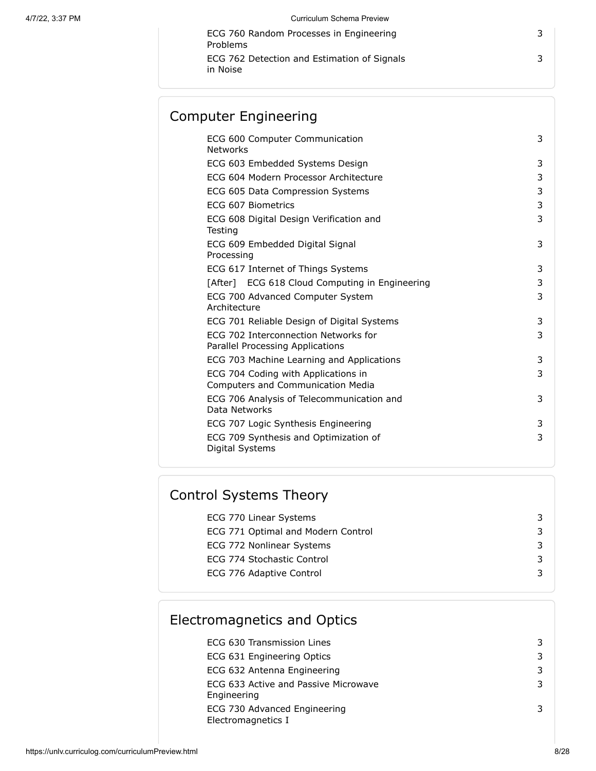ECG 760 Random Processes in Engineering Problems ECG 762 Detection and Estimation of Signals in Noise

## Computer Engineering

| ECG 600 Computer Communication<br>Networks                               | 3 |
|--------------------------------------------------------------------------|---|
| ECG 603 Embedded Systems Design                                          | 3 |
| ECG 604 Modern Processor Architecture                                    | 3 |
| ECG 605 Data Compression Systems                                         | 3 |
| ECG 607 Biometrics                                                       | 3 |
| ECG 608 Digital Design Verification and<br>Testing                       | 3 |
| ECG 609 Embedded Digital Signal<br>Processing                            | 3 |
| ECG 617 Internet of Things Systems                                       | 3 |
| [After] ECG 618 Cloud Computing in Engineering                           | 3 |
| ECG 700 Advanced Computer System<br>Architecture                         | 3 |
| ECG 701 Reliable Design of Digital Systems                               | 3 |
| ECG 702 Interconnection Networks for<br>Parallel Processing Applications | 3 |
| ECG 703 Machine Learning and Applications                                | 3 |
| ECG 704 Coding with Applications in<br>Computers and Communication Media | 3 |
| ECG 706 Analysis of Telecommunication and<br>Data Networks               | 3 |
| ECG 707 Logic Synthesis Engineering                                      | 3 |
| ECG 709 Synthesis and Optimization of<br>Digital Systems                 | 3 |
|                                                                          |   |

## Control Systems Theory

| ECG 770 Linear Systems             |  |
|------------------------------------|--|
| ECG 771 Optimal and Modern Control |  |
| ECG 772 Nonlinear Systems          |  |
| ECG 774 Stochastic Control         |  |
| ECG 776 Adaptive Control           |  |
|                                    |  |

## Electromagnetics and Optics

| ECG 630 Transmission Lines                          | 3 |
|-----------------------------------------------------|---|
| ECG 631 Engineering Optics                          | 3 |
| ECG 632 Antenna Engineering                         | 3 |
| ECG 633 Active and Passive Microwave<br>Engineering | 3 |
| ECG 730 Advanced Engineering<br>Electromagnetics I  |   |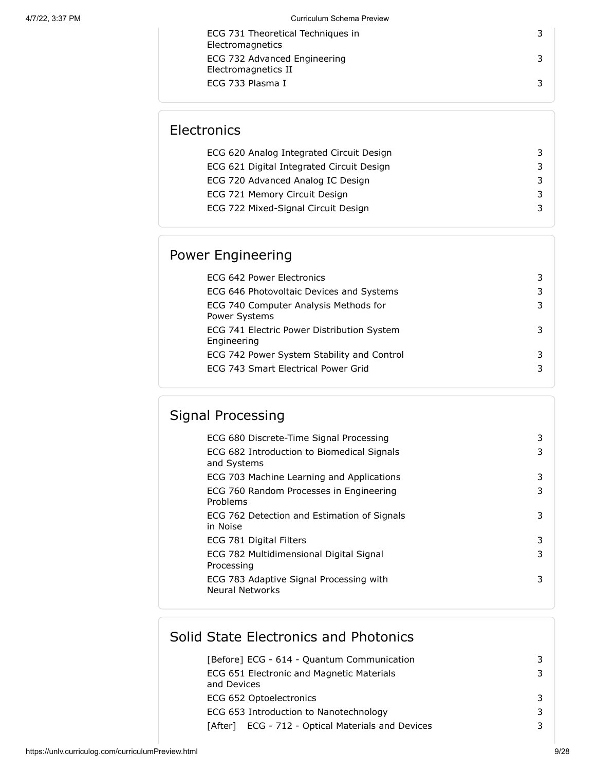| ECG 731 Theoretical Techniques in<br>Electromagnetics |  |
|-------------------------------------------------------|--|
| ECG 732 Advanced Engineering<br>Electromagnetics II   |  |
| ECG 733 Plasma I                                      |  |

## **Electronics**

| ECG 620 Analog Integrated Circuit Design  |  |
|-------------------------------------------|--|
| ECG 621 Digital Integrated Circuit Design |  |
| ECG 720 Advanced Analog IC Design         |  |
| ECG 721 Memory Circuit Design             |  |
| ECG 722 Mixed-Signal Circuit Design       |  |
|                                           |  |

## Power Engineering

| ECG 642 Power Electronics                                 |   |
|-----------------------------------------------------------|---|
| ECG 646 Photovoltaic Devices and Systems                  | 3 |
| ECG 740 Computer Analysis Methods for<br>Power Systems    |   |
| ECG 741 Electric Power Distribution System<br>Engineering |   |
| ECG 742 Power System Stability and Control                |   |
| ECG 743 Smart Electrical Power Grid                       |   |

# Signal Processing

| ECG 680 Discrete-Time Signal Processing                    | 3 |
|------------------------------------------------------------|---|
| ECG 682 Introduction to Biomedical Signals<br>and Systems  | 3 |
| ECG 703 Machine Learning and Applications                  | 3 |
| ECG 760 Random Processes in Engineering<br>Problems        | 3 |
| ECG 762 Detection and Estimation of Signals<br>in Noise    | 3 |
| ECG 781 Digital Filters                                    | 3 |
| ECG 782 Multidimensional Digital Signal<br>Processing      | 3 |
| ECG 783 Adaptive Signal Processing with<br>Neural Networks | 3 |
|                                                            |   |

## Solid State Electronics and Photonics

| [Before] ECG - 614 - Quantum Communication               | 3 |
|----------------------------------------------------------|---|
| ECG 651 Electronic and Magnetic Materials<br>and Devices | 3 |
| ECG 652 Optoelectronics                                  | 3 |
| ECG 653 Introduction to Nanotechnology                   | 3 |
| ECG - 712 - Optical Materials and Devices<br>[After]     | 3 |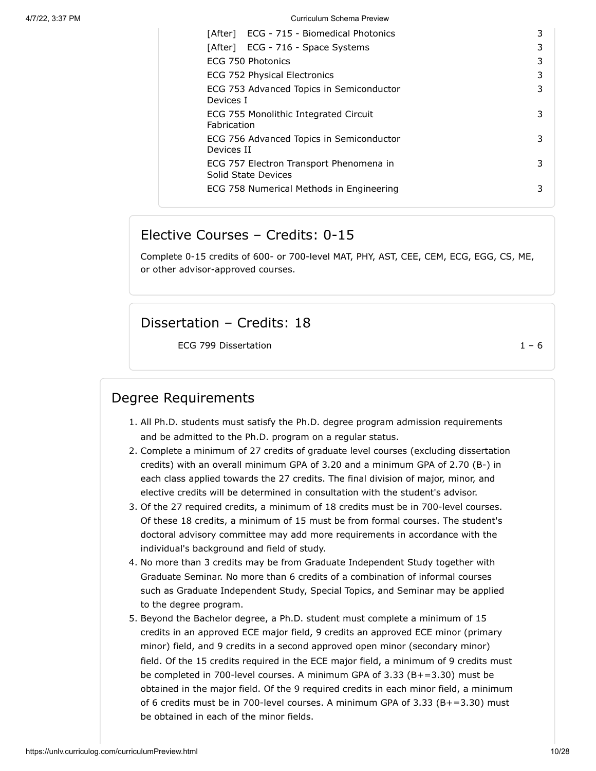| [After] ECG - 715 - Biomedical Photonics                       | 3 |
|----------------------------------------------------------------|---|
| [After] ECG - 716 - Space Systems                              | 3 |
| ECG 750 Photonics                                              | 3 |
| ECG 752 Physical Electronics                                   | 3 |
| ECG 753 Advanced Topics in Semiconductor<br>Devices I          | 3 |
| ECG 755 Monolithic Integrated Circuit<br>Fabrication           | 3 |
| ECG 756 Advanced Topics in Semiconductor<br>Devices II         | 3 |
| ECG 757 Electron Transport Phenomena in<br>Solid State Devices | 3 |
| ECG 758 Numerical Methods in Engineering                       | 3 |

#### Elective Courses – Credits: 0-15

Complete 0-15 credits of 600- or 700-level MAT, PHY, AST, CEE, CEM, ECG, EGG, CS, ME, or other advisor-approved courses.

#### Dissertation – Credits: 18

ECG 799 Dissertation  $1 - 6$ 

### Degree Requirements

- 1. All Ph.D. students must satisfy the Ph.D. degree program admission requirements and be admitted to the Ph.D. program on a regular status.
- 2. Complete a minimum of 27 credits of graduate level courses (excluding dissertation credits) with an overall minimum GPA of 3.20 and a minimum GPA of 2.70 (B-) in each class applied towards the 27 credits. The final division of major, minor, and elective credits will be determined in consultation with the student's advisor.
- 3. Of the 27 required credits, a minimum of 18 credits must be in 700-level courses. Of these 18 credits, a minimum of 15 must be from formal courses. The student's doctoral advisory committee may add more requirements in accordance with the individual's background and field of study.
- 4. No more than 3 credits may be from Graduate Independent Study together with Graduate Seminar. No more than 6 credits of a combination of informal courses such as Graduate Independent Study, Special Topics, and Seminar may be applied to the degree program.
- 5. Beyond the Bachelor degree, a Ph.D. student must complete a minimum of 15 credits in an approved ECE major field, 9 credits an approved ECE minor (primary minor) field, and 9 credits in a second approved open minor (secondary minor) field. Of the 15 credits required in the ECE major field, a minimum of 9 credits must be completed in 700-level courses. A minimum GPA of 3.33 (B+=3.30) must be obtained in the major field. Of the 9 required credits in each minor field, a minimum of 6 credits must be in 700-level courses. A minimum GPA of 3.33 (B+=3.30) must be obtained in each of the minor fields.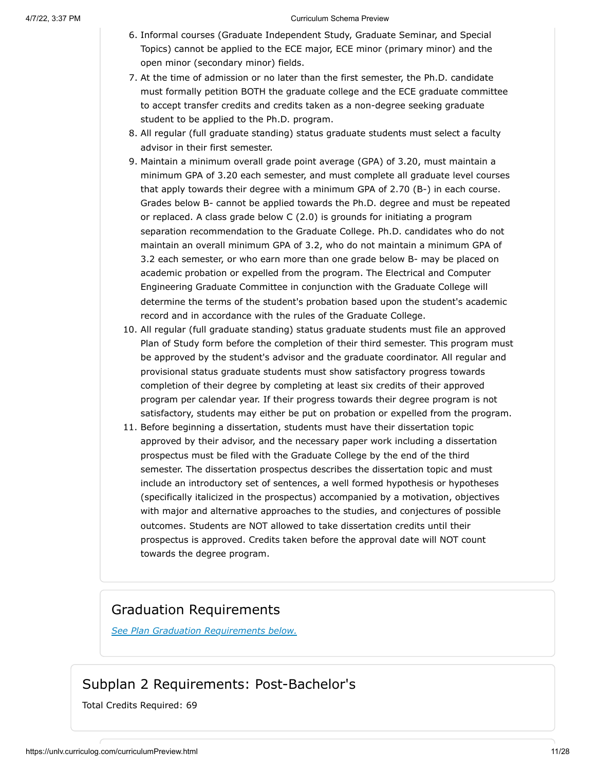- 6. Informal courses (Graduate Independent Study, Graduate Seminar, and Special Topics) cannot be applied to the ECE major, ECE minor (primary minor) and the open minor (secondary minor) fields.
- 7. At the time of admission or no later than the first semester, the Ph.D. candidate must formally petition BOTH the graduate college and the ECE graduate committee to accept transfer credits and credits taken as a non-degree seeking graduate student to be applied to the Ph.D. program.
- 8. All regular (full graduate standing) status graduate students must select a faculty advisor in their first semester.
- 9. Maintain a minimum overall grade point average (GPA) of 3.20, must maintain a minimum GPA of 3.20 each semester, and must complete all graduate level courses that apply towards their degree with a minimum GPA of 2.70 (B-) in each course. Grades below B- cannot be applied towards the Ph.D. degree and must be repeated or replaced. A class grade below C (2.0) is grounds for initiating a program separation recommendation to the Graduate College. Ph.D. candidates who do not maintain an overall minimum GPA of 3.2, who do not maintain a minimum GPA of 3.2 each semester, or who earn more than one grade below B- may be placed on academic probation or expelled from the program. The Electrical and Computer Engineering Graduate Committee in conjunction with the Graduate College will determine the terms of the student's probation based upon the student's academic record and in accordance with the rules of the Graduate College.
- 10. All regular (full graduate standing) status graduate students must file an approved Plan of Study form before the completion of their third semester. This program must be approved by the student's advisor and the graduate coordinator. All regular and provisional status graduate students must show satisfactory progress towards completion of their degree by completing at least six credits of their approved program per calendar year. If their progress towards their degree program is not satisfactory, students may either be put on probation or expelled from the program.
- 11. Before beginning a dissertation, students must have their dissertation topic approved by their advisor, and the necessary paper work including a dissertation prospectus must be filed with the Graduate College by the end of the third semester. The dissertation prospectus describes the dissertation topic and must include an introductory set of sentences, a well formed hypothesis or hypotheses (specifically italicized in the prospectus) accompanied by a motivation, objectives with major and alternative approaches to the studies, and conjectures of possible outcomes. Students are NOT allowed to take dissertation credits until their prospectus is approved. Credits taken before the approval date will NOT count towards the degree program.

#### Graduation Requirements

*See Plan Graduation Requirements below.*

#### Subplan 2 Requirements: Post-Bachelor's

<span id="page-10-0"></span>Total Credits Required: 69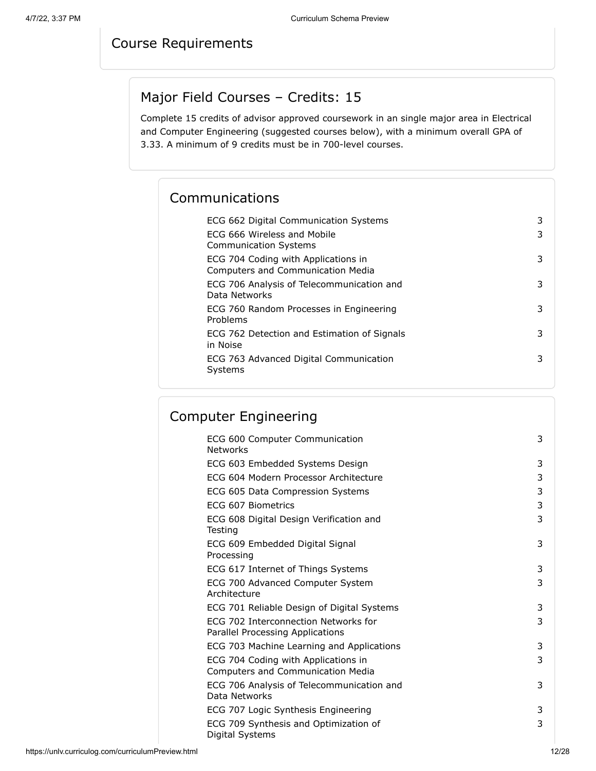## Course Requirements

## Major Field Courses – Credits: 15

Complete 15 credits of advisor approved coursework in an single major area in Electrical and Computer Engineering (suggested courses below), with a minimum overall GPA of 3.33. A minimum of 9 credits must be in 700-level courses.

## Communications

| ECG 662 Digital Communication Systems                                           | 3 |
|---------------------------------------------------------------------------------|---|
| FCG 666 Wireless and Mobile<br><b>Communication Systems</b>                     | 3 |
| ECG 704 Coding with Applications in<br><b>Computers and Communication Media</b> | 3 |
| ECG 706 Analysis of Telecommunication and<br>Data Networks                      | 3 |
| ECG 760 Random Processes in Engineering<br>Problems                             | 3 |
| ECG 762 Detection and Estimation of Signals<br>in Noise                         | 3 |
| ECG 763 Advanced Digital Communication<br>Systems                               | 3 |
|                                                                                 |   |

## Computer Engineering

| ECG 600 Computer Communication<br><b>Networks</b>                        | 3 |
|--------------------------------------------------------------------------|---|
| ECG 603 Embedded Systems Design                                          | 3 |
| ECG 604 Modern Processor Architecture                                    | 3 |
| ECG 605 Data Compression Systems                                         | 3 |
| FCG 607 Biometrics                                                       | 3 |
| ECG 608 Digital Design Verification and<br>Testing                       | 3 |
| ECG 609 Embedded Digital Signal<br>Processing                            | 3 |
| ECG 617 Internet of Things Systems                                       | 3 |
| ECG 700 Advanced Computer System<br>Architecture                         | 3 |
| ECG 701 Reliable Design of Digital Systems                               | 3 |
| ECG 702 Interconnection Networks for<br>Parallel Processing Applications | 3 |
| ECG 703 Machine Learning and Applications                                | 3 |
| ECG 704 Coding with Applications in<br>Computers and Communication Media | 3 |
| ECG 706 Analysis of Telecommunication and<br>Data Networks               | 3 |
| ECG 707 Logic Synthesis Engineering                                      | 3 |
| ECG 709 Synthesis and Optimization of<br>Digital Systems                 | 3 |
|                                                                          |   |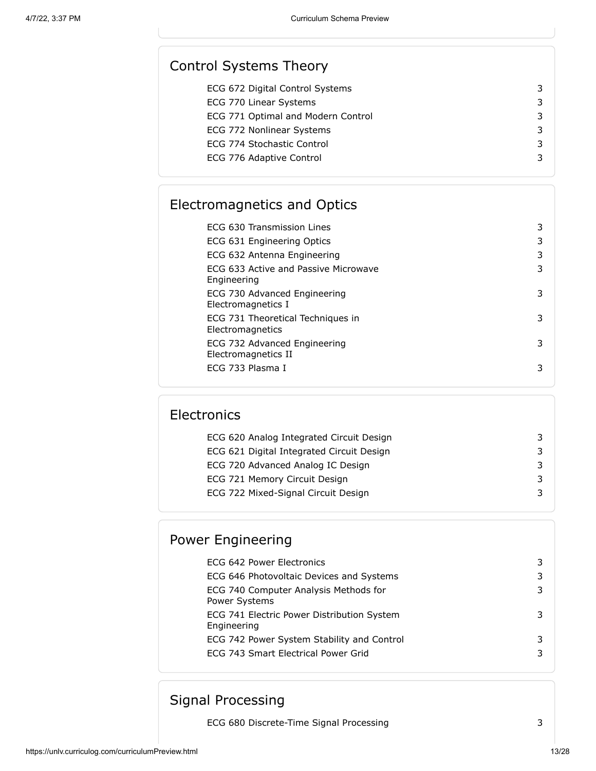| 3 |
|---|
| 3 |
| 3 |
| 3 |
| 3 |
| 3 |
|   |

## Electromagnetics and Optics

| ECG 630 Transmission Lines                            | 3 |
|-------------------------------------------------------|---|
| ECG 631 Engineering Optics                            | 3 |
| ECG 632 Antenna Engineering                           | 3 |
| ECG 633 Active and Passive Microwave<br>Engineering   | 3 |
| ECG 730 Advanced Engineering<br>Electromagnetics I    | 3 |
| ECG 731 Theoretical Techniques in<br>Electromagnetics | 3 |
| ECG 732 Advanced Engineering<br>Electromagnetics II   | 3 |
| ECG 733 Plasma I                                      | 3 |

## **Electronics**

| ECG 620 Analog Integrated Circuit Design  |  |
|-------------------------------------------|--|
| ECG 621 Digital Integrated Circuit Design |  |
| ECG 720 Advanced Analog IC Design         |  |
| ECG 721 Memory Circuit Design             |  |
| ECG 722 Mixed-Signal Circuit Design       |  |

## Power Engineering

| ECG 642 Power Electronics                                     | 3 |
|---------------------------------------------------------------|---|
| ECG 646 Photovoltaic Devices and Systems                      | 3 |
| ECG 740 Computer Analysis Methods for<br><b>Power Systems</b> | 3 |
| ECG 741 Electric Power Distribution System<br>Engineering     | 3 |
| ECG 742 Power System Stability and Control                    | 3 |
| ECG 743 Smart Electrical Power Grid                           | 3 |
|                                                               |   |

## Signal Processing

ECG 680 Discrete-Time Signal Processing 3

https://unlv.curriculog.com/curriculumPreview.html 13/28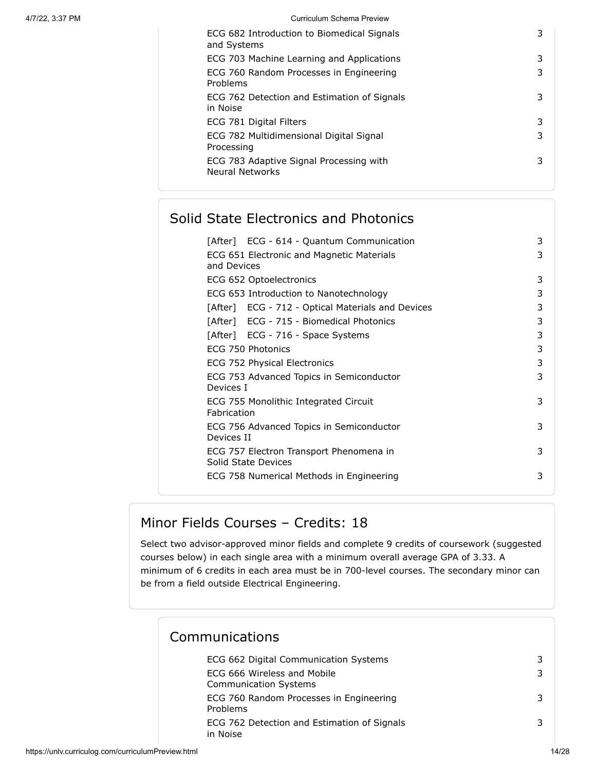| ECG 682 Introduction to Biomedical Signals<br>and Systems         | 3 |
|-------------------------------------------------------------------|---|
| ECG 703 Machine Learning and Applications                         | 3 |
| ECG 760 Random Processes in Engineering<br>Problems               | 3 |
| ECG 762 Detection and Estimation of Signals<br>in Noise           | 3 |
| ECG 781 Digital Filters                                           | 3 |
| ECG 782 Multidimensional Digital Signal<br>Processing             | 3 |
| ECG 783 Adaptive Signal Processing with<br><b>Neural Networks</b> | 3 |

## Solid State Electronics and Photonics

| [After] ECG - 614 - Quantum Communication                      | 3 |
|----------------------------------------------------------------|---|
| ECG 651 Electronic and Magnetic Materials<br>and Devices       | 3 |
| ECG 652 Optoelectronics                                        | 3 |
| ECG 653 Introduction to Nanotechnology                         | 3 |
| [After] ECG - 712 - Optical Materials and Devices              | 3 |
| [After] ECG - 715 - Biomedical Photonics                       | 3 |
| [After] ECG - 716 - Space Systems                              | 3 |
| ECG 750 Photonics                                              | 3 |
| ECG 752 Physical Electronics                                   | 3 |
| ECG 753 Advanced Topics in Semiconductor<br>Devices I          | 3 |
| ECG 755 Monolithic Integrated Circuit<br>Fabrication           | 3 |
| ECG 756 Advanced Topics in Semiconductor<br>Devices II         | 3 |
| ECG 757 Electron Transport Phenomena in<br>Solid State Devices | 3 |
| ECG 758 Numerical Methods in Engineering                       | 3 |

## Minor Fields Courses – Credits: 18

Select two advisor-approved minor fields and complete 9 credits of coursework (suggested courses below) in each single area with a minimum overall average GPA of 3.33. A minimum of 6 credits in each area must be in 700-level courses. The secondary minor can be from a field outside Electrical Engineering.

#### Communications

| ECG 662 Digital Communication Systems                       |  |
|-------------------------------------------------------------|--|
| ECG 666 Wireless and Mobile<br><b>Communication Systems</b> |  |
| ECG 760 Random Processes in Engineering<br>Problems         |  |
| ECG 762 Detection and Estimation of Signals<br>in Noise     |  |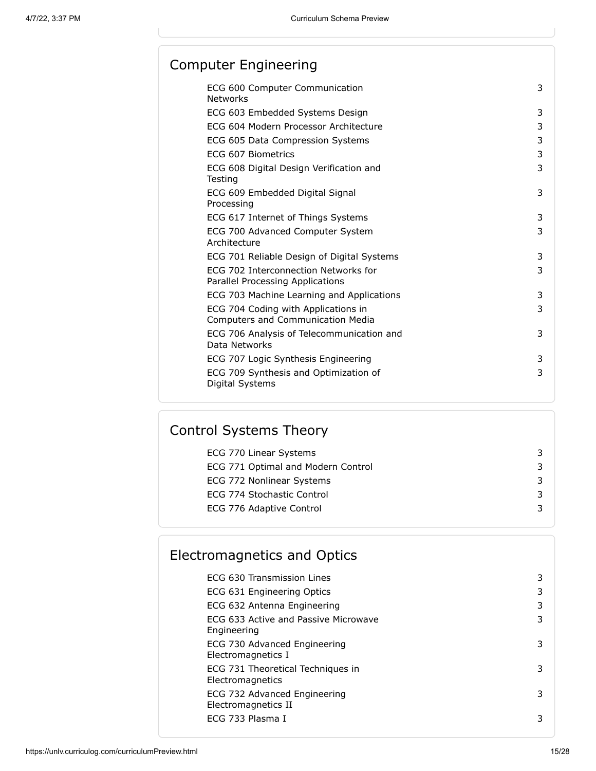## Computer Engineering

| ECG 600 Computer Communication<br><b>Networks</b>                               | 3 |
|---------------------------------------------------------------------------------|---|
| ECG 603 Embedded Systems Design                                                 | 3 |
| ECG 604 Modern Processor Architecture                                           | 3 |
| ECG 605 Data Compression Systems                                                | 3 |
| FCG 607 Biometrics                                                              | 3 |
| ECG 608 Digital Design Verification and<br>Testing                              | 3 |
| ECG 609 Embedded Digital Signal<br>Processing                                   | 3 |
| ECG 617 Internet of Things Systems                                              | 3 |
| ECG 700 Advanced Computer System<br>Architecture                                | 3 |
| ECG 701 Reliable Design of Digital Systems                                      | 3 |
| ECG 702 Interconnection Networks for<br>Parallel Processing Applications        | 3 |
| ECG 703 Machine Learning and Applications                                       | 3 |
| ECG 704 Coding with Applications in<br><b>Computers and Communication Media</b> | 3 |
| ECG 706 Analysis of Telecommunication and<br>Data Networks                      | 3 |
| ECG 707 Logic Synthesis Engineering                                             | 3 |
| ECG 709 Synthesis and Optimization of<br>Digital Systems                        | 3 |

## Control Systems Theory

| ECG 770 Linear Systems             |  |
|------------------------------------|--|
| ECG 771 Optimal and Modern Control |  |
| ECG 772 Nonlinear Systems          |  |
| ECG 774 Stochastic Control         |  |
| ECG 776 Adaptive Control           |  |
|                                    |  |

# Electromagnetics and Optics

| ECG 630 Transmission Lines                            | 3  |
|-------------------------------------------------------|----|
| ECG 631 Engineering Optics                            | 3  |
| ECG 632 Antenna Engineering                           | 3  |
| ECG 633 Active and Passive Microwave<br>Engineering   | 3  |
| ECG 730 Advanced Engineering<br>Electromagnetics I    | 3. |
| ECG 731 Theoretical Techniques in<br>Electromagnetics | 3  |
| ECG 732 Advanced Engineering<br>Electromagnetics II   | 3  |
| ECG 733 Plasma I                                      | 3  |
|                                                       |    |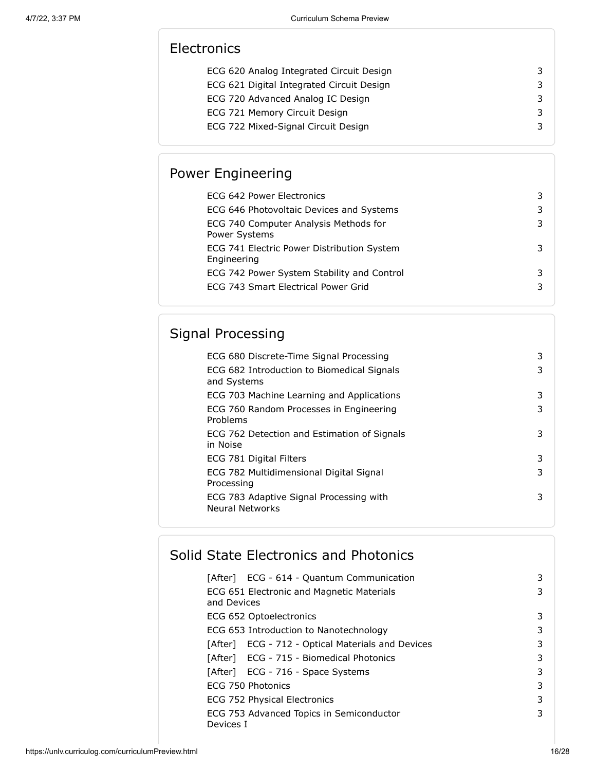## **Electronics**

| ECG 620 Analog Integrated Circuit Design  | 3 |
|-------------------------------------------|---|
| ECG 621 Digital Integrated Circuit Design | 3 |
| ECG 720 Advanced Analog IC Design         | 3 |
| ECG 721 Memory Circuit Design             | 3 |
| ECG 722 Mixed-Signal Circuit Design       |   |

## Power Engineering

| ECG 642 Power Electronics                                 | 3 |
|-----------------------------------------------------------|---|
| ECG 646 Photovoltaic Devices and Systems                  | 3 |
| ECG 740 Computer Analysis Methods for<br>Power Systems    | 3 |
| ECG 741 Electric Power Distribution System<br>Engineering | 3 |
| ECG 742 Power System Stability and Control                | 3 |
| ECG 743 Smart Electrical Power Grid                       | 3 |
|                                                           |   |

## Signal Processing

| ECG 680 Discrete-Time Signal Processing                    | 3 |
|------------------------------------------------------------|---|
| ECG 682 Introduction to Biomedical Signals<br>and Systems  | 3 |
| ECG 703 Machine Learning and Applications                  | 3 |
| ECG 760 Random Processes in Engineering<br>Problems        | 3 |
| ECG 762 Detection and Estimation of Signals<br>in Noise    | 3 |
| ECG 781 Digital Filters                                    | 3 |
| ECG 782 Multidimensional Digital Signal<br>Processing      | 3 |
| ECG 783 Adaptive Signal Processing with<br>Neural Networks | 3 |
|                                                            |   |

## Solid State Electronics and Photonics

| [After] ECG - 614 - Quantum Communication         | 3 |
|---------------------------------------------------|---|
| ECG 651 Electronic and Magnetic Materials         | 3 |
| and Devices                                       |   |
| ECG 652 Optoelectronics                           | 3 |
| ECG 653 Introduction to Nanotechnology            | 3 |
| [After] ECG - 712 - Optical Materials and Devices | 3 |
| [After] ECG - 715 - Biomedical Photonics          | 3 |
| [After] ECG - 716 - Space Systems                 | 3 |
| ECG 750 Photonics                                 | 3 |
| ECG 752 Physical Electronics                      | 3 |
| ECG 753 Advanced Topics in Semiconductor          | 3 |
| Devices I                                         |   |

https://unlv.curriculog.com/curriculumPreview.html 16/28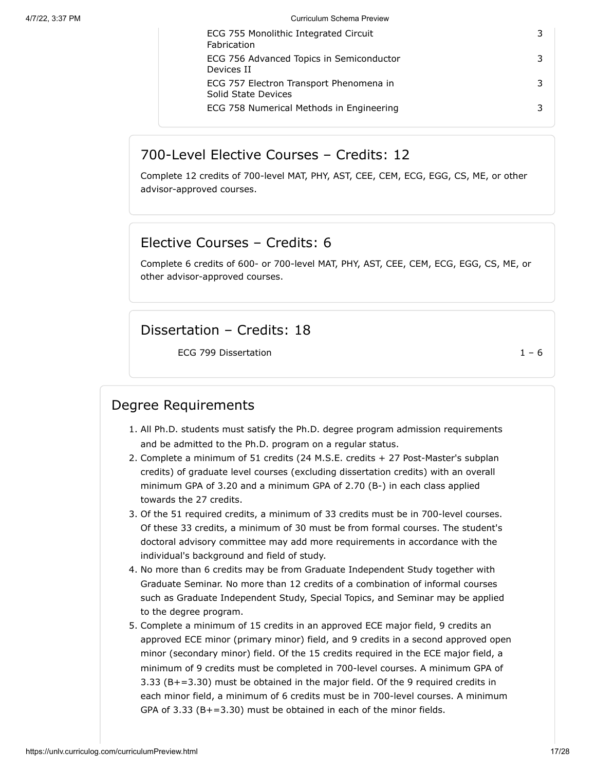| ECG 755 Monolithic Integrated Circuit<br>Fabrication           |  |
|----------------------------------------------------------------|--|
| ECG 756 Advanced Topics in Semiconductor<br>Devices II         |  |
| ECG 757 Electron Transport Phenomena in<br>Solid State Devices |  |
| ECG 758 Numerical Methods in Engineering                       |  |

#### 700-Level Elective Courses – Credits: 12

Complete 12 credits of 700-level MAT, PHY, AST, CEE, CEM, ECG, EGG, CS, ME, or other advisor-approved courses.

## Elective Courses – Credits: 6

Complete 6 credits of 600- or 700-level MAT, PHY, AST, CEE, CEM, ECG, EGG, CS, ME, or other advisor-approved courses.

### Dissertation – Credits: 18

ECG 799 Dissertation  $1 - 6$ 

## Degree Requirements

- 1. All Ph.D. students must satisfy the Ph.D. degree program admission requirements and be admitted to the Ph.D. program on a regular status.
- 2. Complete a minimum of 51 credits (24 M.S.E. credits + 27 Post-Master's subplan credits) of graduate level courses (excluding dissertation credits) with an overall minimum GPA of 3.20 and a minimum GPA of 2.70 (B-) in each class applied towards the 27 credits.
- 3. Of the 51 required credits, a minimum of 33 credits must be in 700-level courses. Of these 33 credits, a minimum of 30 must be from formal courses. The student's doctoral advisory committee may add more requirements in accordance with the individual's background and field of study.
- 4. No more than 6 credits may be from Graduate Independent Study together with Graduate Seminar. No more than 12 credits of a combination of informal courses such as Graduate Independent Study, Special Topics, and Seminar may be applied to the degree program.
- 5. Complete a minimum of 15 credits in an approved ECE major field, 9 credits an approved ECE minor (primary minor) field, and 9 credits in a second approved open minor (secondary minor) field. Of the 15 credits required in the ECE major field, a minimum of 9 credits must be completed in 700-level courses. A minimum GPA of 3.33 (B+=3.30) must be obtained in the major field. Of the 9 required credits in each minor field, a minimum of 6 credits must be in 700-level courses. A minimum GPA of  $3.33$  (B+=3.30) must be obtained in each of the minor fields.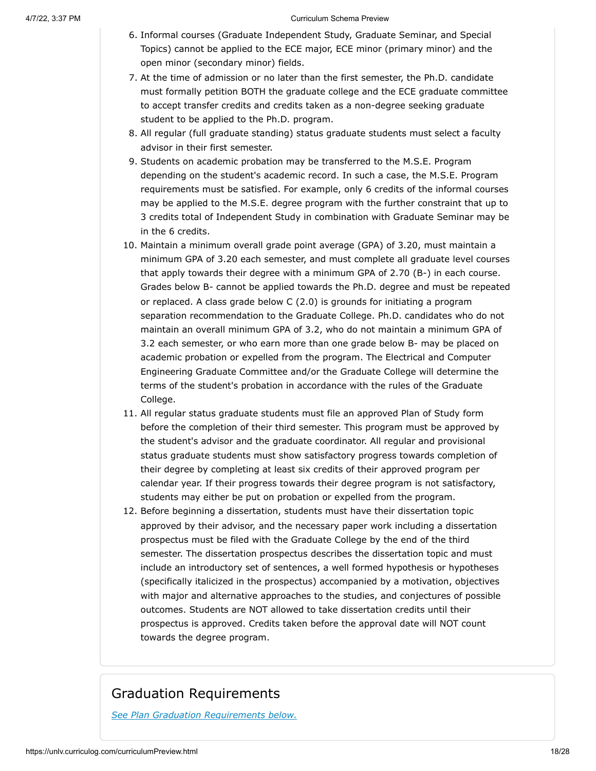- 6. Informal courses (Graduate Independent Study, Graduate Seminar, and Special Topics) cannot be applied to the ECE major, ECE minor (primary minor) and the open minor (secondary minor) fields.
- 7. At the time of admission or no later than the first semester, the Ph.D. candidate must formally petition BOTH the graduate college and the ECE graduate committee to accept transfer credits and credits taken as a non-degree seeking graduate student to be applied to the Ph.D. program.
- 8. All regular (full graduate standing) status graduate students must select a faculty advisor in their first semester.
- 9. Students on academic probation may be transferred to the M.S.E. Program depending on the student's academic record. In such a case, the M.S.E. Program requirements must be satisfied. For example, only 6 credits of the informal courses may be applied to the M.S.E. degree program with the further constraint that up to 3 credits total of Independent Study in combination with Graduate Seminar may be in the 6 credits.
- 10. Maintain a minimum overall grade point average (GPA) of 3.20, must maintain a minimum GPA of 3.20 each semester, and must complete all graduate level courses that apply towards their degree with a minimum GPA of 2.70 (B-) in each course. Grades below B- cannot be applied towards the Ph.D. degree and must be repeated or replaced. A class grade below C (2.0) is grounds for initiating a program separation recommendation to the Graduate College. Ph.D. candidates who do not maintain an overall minimum GPA of 3.2, who do not maintain a minimum GPA of 3.2 each semester, or who earn more than one grade below B- may be placed on academic probation or expelled from the program. The Electrical and Computer Engineering Graduate Committee and/or the Graduate College will determine the terms of the student's probation in accordance with the rules of the Graduate College.
- 11. All regular status graduate students must file an approved Plan of Study form before the completion of their third semester. This program must be approved by the student's advisor and the graduate coordinator. All regular and provisional status graduate students must show satisfactory progress towards completion of their degree by completing at least six credits of their approved program per calendar year. If their progress towards their degree program is not satisfactory, students may either be put on probation or expelled from the program.
- 12. Before beginning a dissertation, students must have their dissertation topic approved by their advisor, and the necessary paper work including a dissertation prospectus must be filed with the Graduate College by the end of the third semester. The dissertation prospectus describes the dissertation topic and must include an introductory set of sentences, a well formed hypothesis or hypotheses (specifically italicized in the prospectus) accompanied by a motivation, objectives with major and alternative approaches to the studies, and conjectures of possible outcomes. Students are NOT allowed to take dissertation credits until their prospectus is approved. Credits taken before the approval date will NOT count towards the degree program.

### Graduation Requirements

*See Plan Graduation Requirements below.*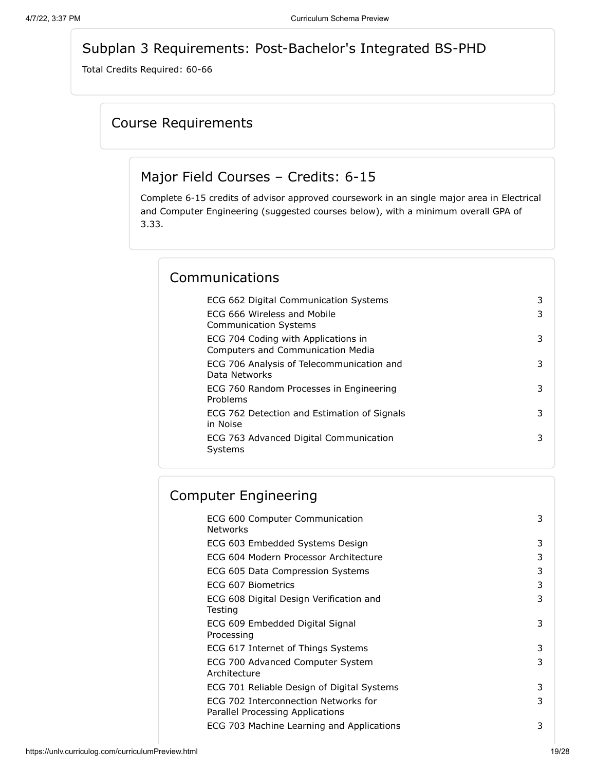## Subplan 3 Requirements: Post-Bachelor's Integrated BS-PHD

<span id="page-18-0"></span>Total Credits Required: 60-66

#### Course Requirements

#### Major Field Courses – Credits: 6-15

Complete 6-15 credits of advisor approved coursework in an single major area in Electrical and Computer Engineering (suggested courses below), with a minimum overall GPA of 3.33.

## Communications

| ECG 662 Digital Communication Systems                                           | 3 |
|---------------------------------------------------------------------------------|---|
| FCG 666 Wireless and Mobile<br><b>Communication Systems</b>                     | 3 |
| ECG 704 Coding with Applications in<br><b>Computers and Communication Media</b> | 3 |
| ECG 706 Analysis of Telecommunication and<br>Data Networks                      | 3 |
| ECG 760 Random Processes in Engineering<br>Problems                             | 3 |
| ECG 762 Detection and Estimation of Signals<br>in Noise                         | 3 |
| ECG 763 Advanced Digital Communication<br>Systems                               | 3 |
|                                                                                 |   |

## Computer Engineering

| ECG 600 Computer Communication<br><b>Networks</b>                        | 3 |
|--------------------------------------------------------------------------|---|
| ECG 603 Embedded Systems Design                                          | 3 |
| ECG 604 Modern Processor Architecture                                    | 3 |
| ECG 605 Data Compression Systems                                         | 3 |
| ECG 607 Biometrics                                                       | 3 |
| ECG 608 Digital Design Verification and<br>Testing                       | 3 |
| ECG 609 Embedded Digital Signal<br>Processing                            | 3 |
| ECG 617 Internet of Things Systems                                       | 3 |
| ECG 700 Advanced Computer System<br>Architecture                         | 3 |
| ECG 701 Reliable Design of Digital Systems                               | 3 |
| ECG 702 Interconnection Networks for<br>Parallel Processing Applications | 3 |
| ECG 703 Machine Learning and Applications                                | 3 |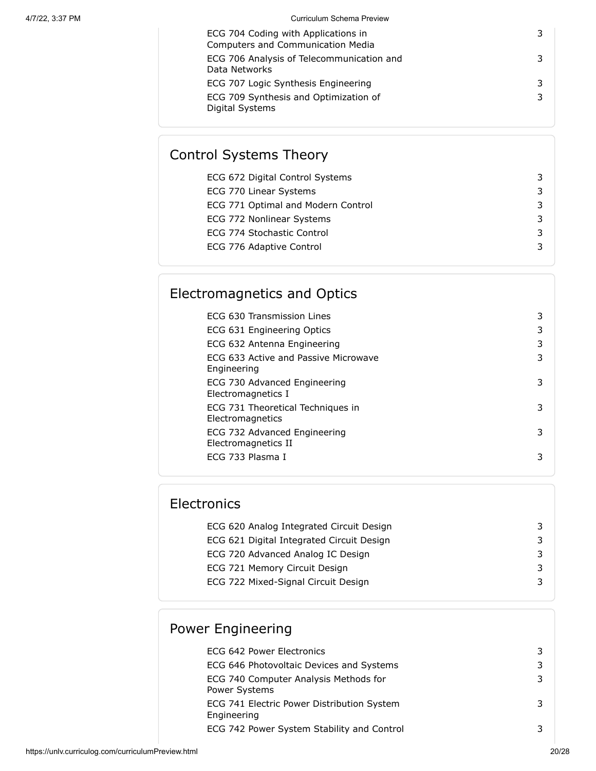| ECG 704 Coding with Applications in<br><b>Computers and Communication Media</b> |  |
|---------------------------------------------------------------------------------|--|
| ECG 706 Analysis of Telecommunication and<br>Data Networks                      |  |
| ECG 707 Logic Synthesis Engineering                                             |  |
| ECG 709 Synthesis and Optimization of<br>Digital Systems                        |  |

# Control Systems Theory

| ECG 672 Digital Control Systems    |  |
|------------------------------------|--|
| ECG 770 Linear Systems             |  |
| ECG 771 Optimal and Modern Control |  |
| ECG 772 Nonlinear Systems          |  |
| ECG 774 Stochastic Control         |  |
| ECG 776 Adaptive Control           |  |
|                                    |  |

## Electromagnetics and Optics

| FCG 630 Transmission Lines                            |   |
|-------------------------------------------------------|---|
| ECG 631 Engineering Optics                            |   |
| ECG 632 Antenna Engineering                           | 3 |
| FCG 633 Active and Passive Microwave<br>Engineering   | 3 |
| ECG 730 Advanced Engineering<br>Electromagnetics I    |   |
| ECG 731 Theoretical Techniques in<br>Electromagnetics | 3 |
| ECG 732 Advanced Engineering<br>Electromagnetics II   | 3 |
| ECG 733 Plasma I                                      | 3 |

## **Electronics**

| ECG 620 Analog Integrated Circuit Design  |  |
|-------------------------------------------|--|
| ECG 621 Digital Integrated Circuit Design |  |
| ECG 720 Advanced Analog IC Design         |  |
| ECG 721 Memory Circuit Design             |  |
| ECG 722 Mixed-Signal Circuit Design       |  |
|                                           |  |

## Power Engineering

| ECG 642 Power Electronics                                 |  |
|-----------------------------------------------------------|--|
| ECG 646 Photovoltaic Devices and Systems                  |  |
| ECG 740 Computer Analysis Methods for<br>Power Systems    |  |
| ECG 741 Electric Power Distribution System<br>Engineering |  |
| ECG 742 Power System Stability and Control                |  |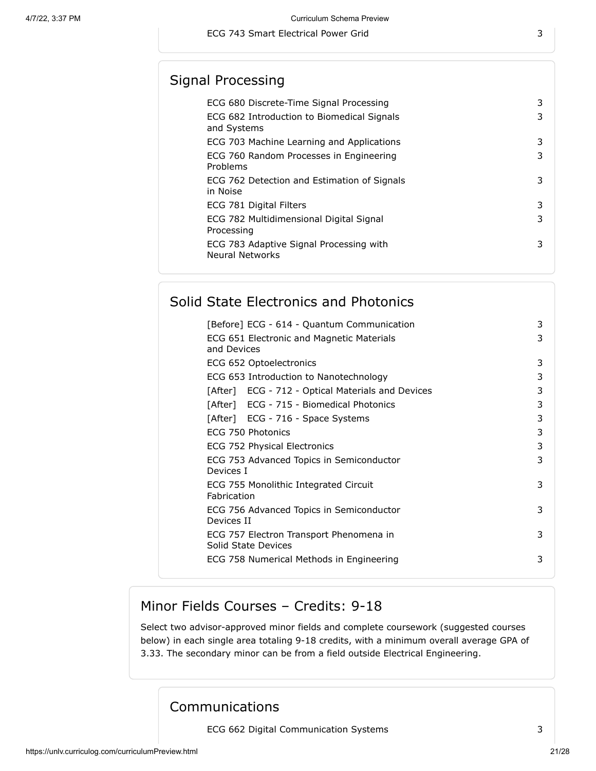## Signal Processing

| 3<br>ECG 682 Introduction to Biomedical Signals<br>and Systems<br>3<br>ECG 703 Machine Learning and Applications<br>ECG 760 Random Processes in Engineering<br>3<br>Problems<br>ECG 762 Detection and Estimation of Signals<br>3<br>in Noise<br>ECG 781 Digital Filters<br>3<br>ECG 782 Multidimensional Digital Signal<br>3<br>Processing<br>ECG 783 Adaptive Signal Processing with<br>3<br><b>Neural Networks</b> | ECG 680 Discrete-Time Signal Processing | 3 |
|----------------------------------------------------------------------------------------------------------------------------------------------------------------------------------------------------------------------------------------------------------------------------------------------------------------------------------------------------------------------------------------------------------------------|-----------------------------------------|---|
|                                                                                                                                                                                                                                                                                                                                                                                                                      |                                         |   |
|                                                                                                                                                                                                                                                                                                                                                                                                                      |                                         |   |
|                                                                                                                                                                                                                                                                                                                                                                                                                      |                                         |   |
|                                                                                                                                                                                                                                                                                                                                                                                                                      |                                         |   |
|                                                                                                                                                                                                                                                                                                                                                                                                                      |                                         |   |
|                                                                                                                                                                                                                                                                                                                                                                                                                      |                                         |   |
|                                                                                                                                                                                                                                                                                                                                                                                                                      |                                         |   |

## Solid State Electronics and Photonics

| [Before] ECG - 614 - Quantum Communication                     | 3 |
|----------------------------------------------------------------|---|
| ECG 651 Electronic and Magnetic Materials<br>and Devices       | 3 |
| ECG 652 Optoelectronics                                        | 3 |
| ECG 653 Introduction to Nanotechnology                         | 3 |
| [After] ECG - 712 - Optical Materials and Devices              | 3 |
| [After] ECG - 715 - Biomedical Photonics                       | 3 |
| [After] ECG - 716 - Space Systems                              | 3 |
| ECG 750 Photonics                                              | 3 |
| ECG 752 Physical Electronics                                   | 3 |
| ECG 753 Advanced Topics in Semiconductor<br>Devices I          | 3 |
| ECG 755 Monolithic Integrated Circuit<br>Fabrication           | 3 |
| ECG 756 Advanced Topics in Semiconductor<br>Devices II         | 3 |
| ECG 757 Electron Transport Phenomena in<br>Solid State Devices | 3 |
| ECG 758 Numerical Methods in Engineering                       | 3 |

#### Minor Fields Courses – Credits: 9-18

Select two advisor-approved minor fields and complete coursework (suggested courses below) in each single area totaling 9-18 credits, with a minimum overall average GPA of 3.33. The secondary minor can be from a field outside Electrical Engineering.

### Communications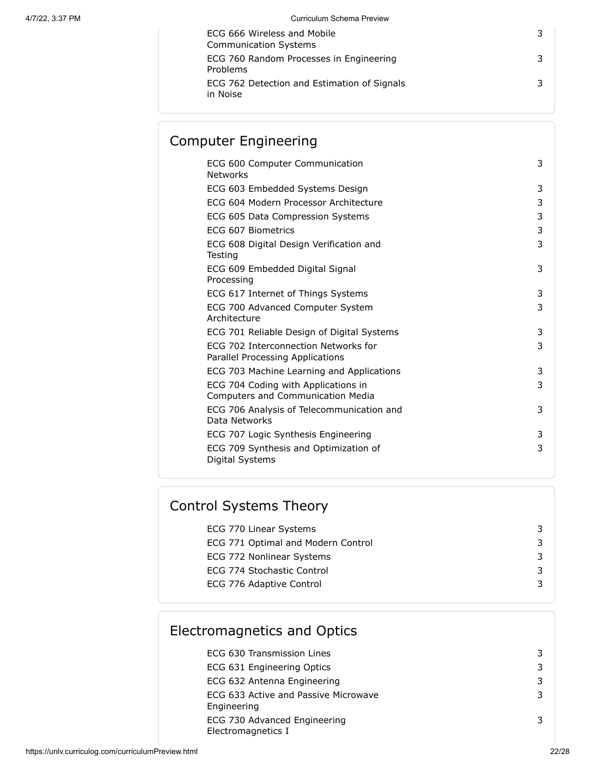| ECG 666 Wireless and Mobile<br><b>Communication Systems</b> |  |
|-------------------------------------------------------------|--|
| ECG 760 Random Processes in Engineering<br>Problems         |  |
| ECG 762 Detection and Estimation of Signals<br>in Noise     |  |

## Computer Engineering

| ECG 600 Computer Communication<br><b>Networks</b>                               | 3 |
|---------------------------------------------------------------------------------|---|
| ECG 603 Embedded Systems Design                                                 | 3 |
| ECG 604 Modern Processor Architecture                                           | 3 |
| ECG 605 Data Compression Systems                                                | 3 |
| FCG 607 Biometrics                                                              | 3 |
| ECG 608 Digital Design Verification and<br>Testing                              | 3 |
| ECG 609 Embedded Digital Signal<br>Processing                                   | 3 |
| ECG 617 Internet of Things Systems                                              | 3 |
| ECG 700 Advanced Computer System<br>Architecture                                | 3 |
| ECG 701 Reliable Design of Digital Systems                                      | 3 |
| ECG 702 Interconnection Networks for<br>Parallel Processing Applications        | 3 |
| ECG 703 Machine Learning and Applications                                       | 3 |
| ECG 704 Coding with Applications in<br><b>Computers and Communication Media</b> | 3 |
| ECG 706 Analysis of Telecommunication and<br>Data Networks                      | 3 |
| ECG 707 Logic Synthesis Engineering                                             | 3 |
| ECG 709 Synthesis and Optimization of<br>Digital Systems                        | 3 |
|                                                                                 |   |

## Control Systems Theory

| ECG 770 Linear Systems             |  |
|------------------------------------|--|
| ECG 771 Optimal and Modern Control |  |
| ECG 772 Nonlinear Systems          |  |
| ECG 774 Stochastic Control         |  |
| ECG 776 Adaptive Control           |  |
|                                    |  |

# Electromagnetics and Optics

| ECG 630 Transmission Lines                          | 3 |
|-----------------------------------------------------|---|
| ECG 631 Engineering Optics                          | 3 |
| ECG 632 Antenna Engineering                         | 3 |
| ECG 633 Active and Passive Microwave<br>Engineering | 3 |
| ECG 730 Advanced Engineering<br>Electromagnetics I  | 3 |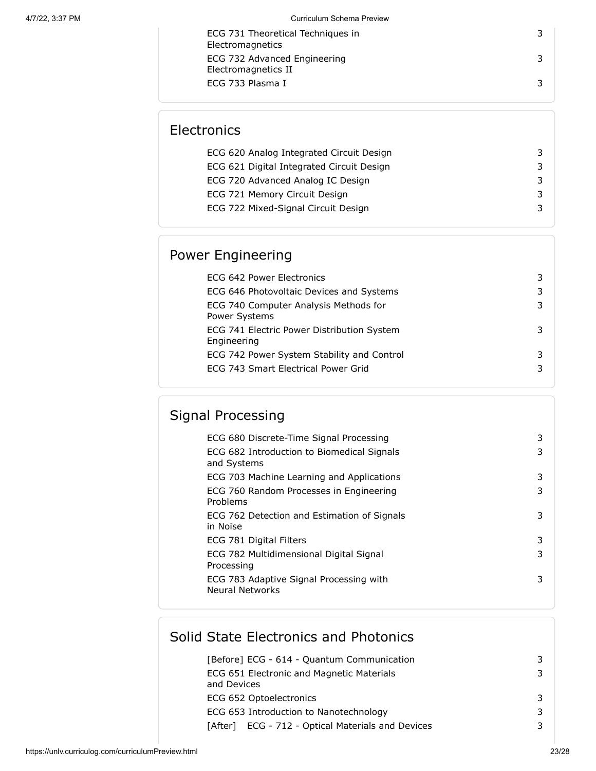| ECG 731 Theoretical Techniques in<br>Electromagnetics |   |
|-------------------------------------------------------|---|
| ECG 732 Advanced Engineering<br>Electromagnetics II   | 3 |
| ECG 733 Plasma I                                      |   |

## **Electronics**

| ECG 620 Analog Integrated Circuit Design  |  |
|-------------------------------------------|--|
| ECG 621 Digital Integrated Circuit Design |  |
| ECG 720 Advanced Analog IC Design         |  |
| ECG 721 Memory Circuit Design             |  |
| ECG 722 Mixed-Signal Circuit Design       |  |
|                                           |  |

## Power Engineering

| ECG 642 Power Electronics                                 |   |
|-----------------------------------------------------------|---|
| ECG 646 Photovoltaic Devices and Systems                  | 3 |
| ECG 740 Computer Analysis Methods for<br>Power Systems    | 3 |
| ECG 741 Electric Power Distribution System<br>Engineering |   |
| ECG 742 Power System Stability and Control                |   |
| ECG 743 Smart Electrical Power Grid                       |   |

# Signal Processing

| ECG 680 Discrete-Time Signal Processing                    | 3 |
|------------------------------------------------------------|---|
| ECG 682 Introduction to Biomedical Signals<br>and Systems  | 3 |
| ECG 703 Machine Learning and Applications                  | 3 |
| ECG 760 Random Processes in Engineering<br>Problems        | 3 |
| ECG 762 Detection and Estimation of Signals<br>in Noise    | 3 |
| ECG 781 Digital Filters                                    | 3 |
| ECG 782 Multidimensional Digital Signal<br>Processing      | 3 |
| ECG 783 Adaptive Signal Processing with<br>Neural Networks | 3 |
|                                                            |   |

## Solid State Electronics and Photonics

| [Before] ECG - 614 - Quantum Communication               |  |
|----------------------------------------------------------|--|
| ECG 651 Electronic and Magnetic Materials<br>and Devices |  |
| ECG 652 Optoelectronics                                  |  |
| ECG 653 Introduction to Nanotechnology                   |  |
| [After] ECG - 712 - Optical Materials and Devices        |  |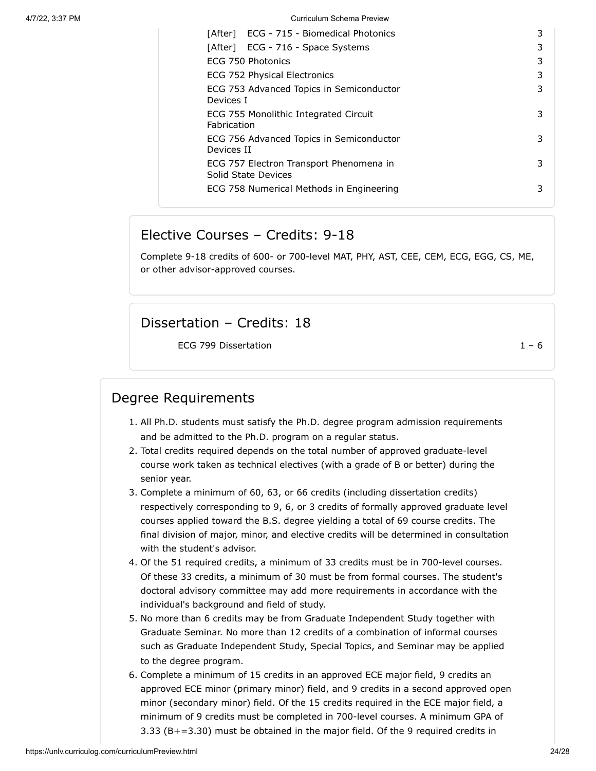| [After] ECG - 715 - Biomedical Photonics                       | 3 |
|----------------------------------------------------------------|---|
| [After] ECG - 716 - Space Systems                              | 3 |
| ECG 750 Photonics                                              | 3 |
| <b>ECG 752 Physical Electronics</b>                            | 3 |
| ECG 753 Advanced Topics in Semiconductor<br>Devices I          | 3 |
| ECG 755 Monolithic Integrated Circuit<br>Fabrication           | 3 |
| ECG 756 Advanced Topics in Semiconductor<br>Devices II         | 3 |
| ECG 757 Electron Transport Phenomena in<br>Solid State Devices | 3 |
| ECG 758 Numerical Methods in Engineering                       | 3 |
|                                                                |   |

#### Elective Courses – Credits: 9-18

Complete 9-18 credits of 600- or 700-level MAT, PHY, AST, CEE, CEM, ECG, EGG, CS, ME, or other advisor-approved courses.

#### Dissertation – Credits: 18

ECG 799 Dissertation 1 – 6

### Degree Requirements

- 1. All Ph.D. students must satisfy the Ph.D. degree program admission requirements and be admitted to the Ph.D. program on a regular status.
- 2. Total credits required depends on the total number of approved graduate-level course work taken as technical electives (with a grade of B or better) during the senior year.
- 3. Complete a minimum of 60, 63, or 66 credits (including dissertation credits) respectively corresponding to 9, 6, or 3 credits of formally approved graduate level courses applied toward the B.S. degree yielding a total of 69 course credits. The final division of major, minor, and elective credits will be determined in consultation with the student's advisor.
- 4. Of the 51 required credits, a minimum of 33 credits must be in 700-level courses. Of these 33 credits, a minimum of 30 must be from formal courses. The student's doctoral advisory committee may add more requirements in accordance with the individual's background and field of study.
- 5. No more than 6 credits may be from Graduate Independent Study together with Graduate Seminar. No more than 12 credits of a combination of informal courses such as Graduate Independent Study, Special Topics, and Seminar may be applied to the degree program.
- 6. Complete a minimum of 15 credits in an approved ECE major field, 9 credits an approved ECE minor (primary minor) field, and 9 credits in a second approved open minor (secondary minor) field. Of the 15 credits required in the ECE major field, a minimum of 9 credits must be completed in 700-level courses. A minimum GPA of 3.33 (B+=3.30) must be obtained in the major field. Of the 9 required credits in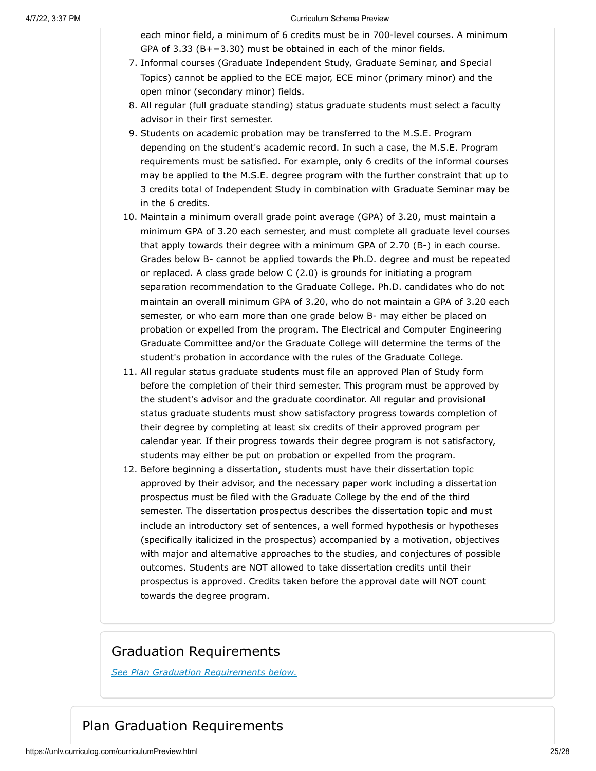each minor field, a minimum of 6 credits must be in 700-level courses. A minimum GPA of 3.33 (B+=3.30) must be obtained in each of the minor fields.

- 7. Informal courses (Graduate Independent Study, Graduate Seminar, and Special Topics) cannot be applied to the ECE major, ECE minor (primary minor) and the open minor (secondary minor) fields.
- 8. All regular (full graduate standing) status graduate students must select a faculty advisor in their first semester.
- 9. Students on academic probation may be transferred to the M.S.E. Program depending on the student's academic record. In such a case, the M.S.E. Program requirements must be satisfied. For example, only 6 credits of the informal courses may be applied to the M.S.E. degree program with the further constraint that up to 3 credits total of Independent Study in combination with Graduate Seminar may be in the 6 credits.
- 10. Maintain a minimum overall grade point average (GPA) of 3.20, must maintain a minimum GPA of 3.20 each semester, and must complete all graduate level courses that apply towards their degree with a minimum GPA of 2.70 (B-) in each course. Grades below B- cannot be applied towards the Ph.D. degree and must be repeated or replaced. A class grade below C (2.0) is grounds for initiating a program separation recommendation to the Graduate College. Ph.D. candidates who do not maintain an overall minimum GPA of 3.20, who do not maintain a GPA of 3.20 each semester, or who earn more than one grade below B- may either be placed on probation or expelled from the program. The Electrical and Computer Engineering Graduate Committee and/or the Graduate College will determine the terms of the student's probation in accordance with the rules of the Graduate College.
- 11. All regular status graduate students must file an approved Plan of Study form before the completion of their third semester. This program must be approved by the student's advisor and the graduate coordinator. All regular and provisional status graduate students must show satisfactory progress towards completion of their degree by completing at least six credits of their approved program per calendar year. If their progress towards their degree program is not satisfactory, students may either be put on probation or expelled from the program.
- 12. Before beginning a dissertation, students must have their dissertation topic approved by their advisor, and the necessary paper work including a dissertation prospectus must be filed with the Graduate College by the end of the third semester. The dissertation prospectus describes the dissertation topic and must include an introductory set of sentences, a well formed hypothesis or hypotheses (specifically italicized in the prospectus) accompanied by a motivation, objectives with major and alternative approaches to the studies, and conjectures of possible outcomes. Students are NOT allowed to take dissertation credits until their prospectus is approved. Credits taken before the approval date will NOT count towards the degree program.

### Graduation Requirements

*See Plan Graduation Requirements below.*

## Plan Graduation Requirements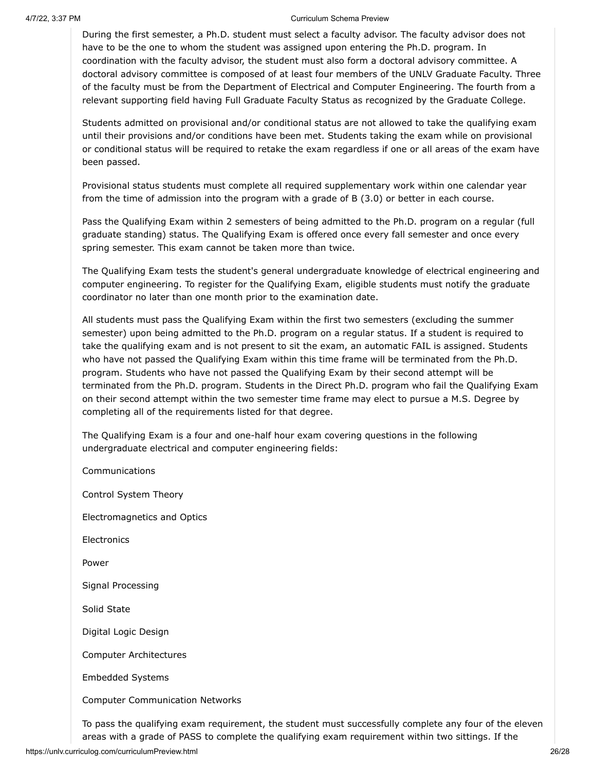During the first semester, a Ph.D. student must select a faculty advisor. The faculty advisor does not have to be the one to whom the student was assigned upon entering the Ph.D. program. In coordination with the faculty advisor, the student must also form a doctoral advisory committee. A doctoral advisory committee is composed of at least four members of the UNLV Graduate Faculty. Three of the faculty must be from the Department of Electrical and Computer Engineering. The fourth from a relevant supporting field having Full Graduate Faculty Status as recognized by the Graduate College.

Students admitted on provisional and/or conditional status are not allowed to take the qualifying exam until their provisions and/or conditions have been met. Students taking the exam while on provisional or conditional status will be required to retake the exam regardless if one or all areas of the exam have been passed.

Provisional status students must complete all required supplementary work within one calendar year from the time of admission into the program with a grade of B (3.0) or better in each course.

Pass the Qualifying Exam within 2 semesters of being admitted to the Ph.D. program on a regular (full graduate standing) status. The Qualifying Exam is offered once every fall semester and once every spring semester. This exam cannot be taken more than twice.

The Qualifying Exam tests the student's general undergraduate knowledge of electrical engineering and computer engineering. To register for the Qualifying Exam, eligible students must notify the graduate coordinator no later than one month prior to the examination date.

All students must pass the Qualifying Exam within the first two semesters (excluding the summer semester) upon being admitted to the Ph.D. program on a regular status. If a student is required to take the qualifying exam and is not present to sit the exam, an automatic FAIL is assigned. Students who have not passed the Qualifying Exam within this time frame will be terminated from the Ph.D. program. Students who have not passed the Qualifying Exam by their second attempt will be terminated from the Ph.D. program. Students in the Direct Ph.D. program who fail the Qualifying Exam on their second attempt within the two semester time frame may elect to pursue a M.S. Degree by completing all of the requirements listed for that degree.

The Qualifying Exam is a four and one-half hour exam covering questions in the following undergraduate electrical and computer engineering fields:

Communications Control System Theory Electromagnetics and Optics **Electronics** Power Signal Processing Solid State Digital Logic Design Computer Architectures Embedded Systems Computer Communication Networks

To pass the qualifying exam requirement, the student must successfully complete any four of the eleven areas with a grade of PASS to complete the qualifying exam requirement within two sittings. If the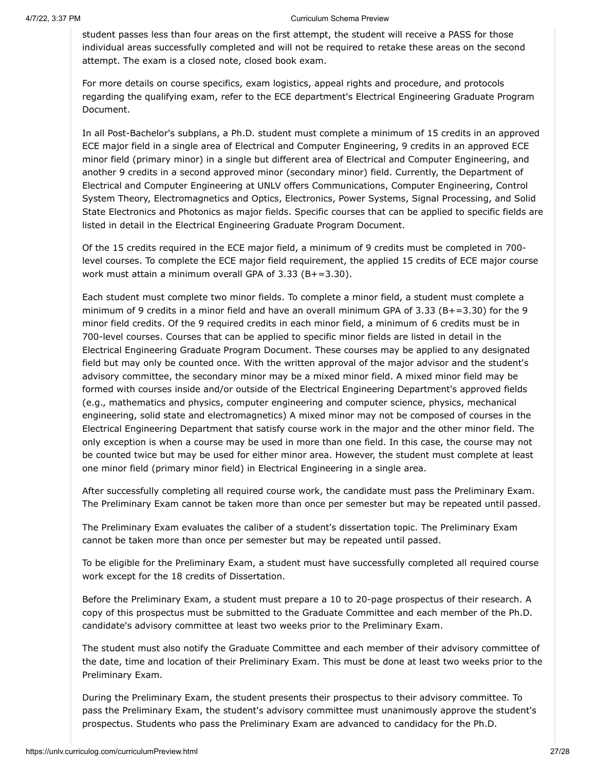student passes less than four areas on the first attempt, the student will receive a PASS for those individual areas successfully completed and will not be required to retake these areas on the second attempt. The exam is a closed note, closed book exam.

For more details on course specifics, exam logistics, appeal rights and procedure, and protocols regarding the qualifying exam, refer to the ECE department's Electrical Engineering Graduate Program Document.

In all Post-Bachelor's subplans, a Ph.D. student must complete a minimum of 15 credits in an approved ECE major field in a single area of Electrical and Computer Engineering, 9 credits in an approved ECE minor field (primary minor) in a single but different area of Electrical and Computer Engineering, and another 9 credits in a second approved minor (secondary minor) field. Currently, the Department of Electrical and Computer Engineering at UNLV offers Communications, Computer Engineering, Control System Theory, Electromagnetics and Optics, Electronics, Power Systems, Signal Processing, and Solid State Electronics and Photonics as major fields. Specific courses that can be applied to specific fields are listed in detail in the Electrical Engineering Graduate Program Document.

Of the 15 credits required in the ECE major field, a minimum of 9 credits must be completed in 700 level courses. To complete the ECE major field requirement, the applied 15 credits of ECE major course work must attain a minimum overall GPA of 3.33 (B+=3.30).

Each student must complete two minor fields. To complete a minor field, a student must complete a minimum of 9 credits in a minor field and have an overall minimum GPA of 3.33 (B+=3.30) for the 9 minor field credits. Of the 9 required credits in each minor field, a minimum of 6 credits must be in 700-level courses. Courses that can be applied to specific minor fields are listed in detail in the Electrical Engineering Graduate Program Document. These courses may be applied to any designated field but may only be counted once. With the written approval of the major advisor and the student's advisory committee, the secondary minor may be a mixed minor field. A mixed minor field may be formed with courses inside and/or outside of the Electrical Engineering Department's approved fields (e.g., mathematics and physics, computer engineering and computer science, physics, mechanical engineering, solid state and electromagnetics) A mixed minor may not be composed of courses in the Electrical Engineering Department that satisfy course work in the major and the other minor field. The only exception is when a course may be used in more than one field. In this case, the course may not be counted twice but may be used for either minor area. However, the student must complete at least one minor field (primary minor field) in Electrical Engineering in a single area.

After successfully completing all required course work, the candidate must pass the Preliminary Exam. The Preliminary Exam cannot be taken more than once per semester but may be repeated until passed.

The Preliminary Exam evaluates the caliber of a student's dissertation topic. The Preliminary Exam cannot be taken more than once per semester but may be repeated until passed.

To be eligible for the Preliminary Exam, a student must have successfully completed all required course work except for the 18 credits of Dissertation.

Before the Preliminary Exam, a student must prepare a 10 to 20-page prospectus of their research. A copy of this prospectus must be submitted to the Graduate Committee and each member of the Ph.D. candidate's advisory committee at least two weeks prior to the Preliminary Exam.

The student must also notify the Graduate Committee and each member of their advisory committee of the date, time and location of their Preliminary Exam. This must be done at least two weeks prior to the Preliminary Exam.

During the Preliminary Exam, the student presents their prospectus to their advisory committee. To pass the Preliminary Exam, the student's advisory committee must unanimously approve the student's prospectus. Students who pass the Preliminary Exam are advanced to candidacy for the Ph.D.